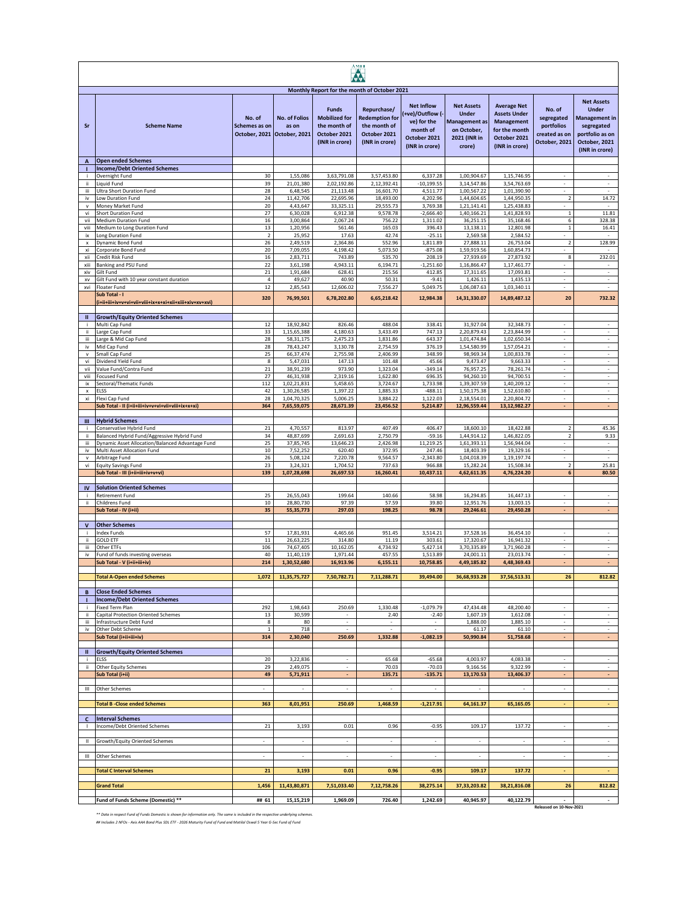|                          | <b>AMFI</b>                                                          |                                                        |                               |                                                                                                                                        |                                                                                        |                                                                                                   |                                                                                                    |                                                                                                                   |                                                                      |                                                                                                                        |
|--------------------------|----------------------------------------------------------------------|--------------------------------------------------------|-------------------------------|----------------------------------------------------------------------------------------------------------------------------------------|----------------------------------------------------------------------------------------|---------------------------------------------------------------------------------------------------|----------------------------------------------------------------------------------------------------|-------------------------------------------------------------------------------------------------------------------|----------------------------------------------------------------------|------------------------------------------------------------------------------------------------------------------------|
| Sr                       | <b>Scheme Name</b>                                                   | No. of<br>Schemes as on<br>October, 2021 October, 2021 | <b>No. of Folios</b><br>as on | Monthly Report for the month of October 2021<br><b>Funds</b><br><b>Mobilized for</b><br>the month of<br>October 2021<br>(INR in crore) | Repurchase/<br><b>Redemption for</b><br>the month of<br>October 2021<br>(INR in crore) | <b>Net Inflow</b><br>+ve)/Outflow (-<br>ve) for the<br>month of<br>October 2021<br>(INR in crore) | <b>Net Assets</b><br><b>Under</b><br><b>Management</b> as<br>on October,<br>2021 (INR in<br>crore) | <b>Average Net</b><br><b>Assets Under</b><br><b>Management</b><br>for the month<br>October 2021<br>(INR in crore) | No. of<br>segregated<br>portfolios<br>created as on<br>October, 2021 | <b>Net Assets</b><br><b>Under</b><br>Management in<br>segregated<br>portfolio as on<br>October, 2021<br>(INR in crore) |
| A                        | <b>Open ended Schemes</b><br><b>Income/Debt Oriented Schemes</b>     |                                                        |                               |                                                                                                                                        |                                                                                        |                                                                                                   |                                                                                                    |                                                                                                                   |                                                                      |                                                                                                                        |
|                          | Overnight Fund                                                       | 30                                                     | 1,55,086                      | 3,63,791.08                                                                                                                            | 3,57,453.80                                                                            | 6,337.28                                                                                          | 1,00,904.67                                                                                        | 1,15,746.95                                                                                                       |                                                                      |                                                                                                                        |
| ii.                      | Liquid Fund                                                          | 39                                                     | 21,01,380                     | 2,02,192.86                                                                                                                            | 2,12,392.41                                                                            | $-10.199.55$                                                                                      | 3,14,547.86                                                                                        | 3,54,763.69                                                                                                       |                                                                      |                                                                                                                        |
| iii<br>iv                | <b>Ultra Short Duration Fund</b><br>Low Duration Fund                | 28<br>24                                               | 6,48,545<br>11,42,706         | 21,113.48<br>22,695.96                                                                                                                 | 16,601.70<br>18,493.00                                                                 | 4,511.77<br>4,202.96                                                                              | 1,00,567.22<br>1,44,604.65                                                                         | 1,01,390.90<br>1,44,950.35                                                                                        | $\overline{2}$                                                       | 14.72                                                                                                                  |
| $\mathbf{v}$             | Money Market Fund                                                    | 20                                                     | 4,43,647                      | 33,325.11                                                                                                                              | 29,555.73                                                                              | 3,769.38                                                                                          | 1,21,141.41                                                                                        | 1,25,438.83                                                                                                       |                                                                      |                                                                                                                        |
| vi                       | Short Duration Fund                                                  | 27                                                     | 6,30,028                      | 6,912.38                                                                                                                               | 9,578.78                                                                               | $-2,666.40$                                                                                       | 1,40,166.21                                                                                        | 1,41,828.93                                                                                                       | $\,1\,$                                                              | 11.81                                                                                                                  |
| vii<br>viii              | <b>Medium Duration Fund</b><br>Medium to Long Duration Fund          | 16<br>13                                               | 3,00,864<br>1,20,956          | 2,067.24<br>561.46                                                                                                                     | 756.22<br>165.03                                                                       | 1,311.02<br>396.43                                                                                | 36,251.15<br>13,138.11                                                                             | 35,168.46<br>12,801.98                                                                                            | 6<br>$\,1\,$                                                         | 328.38<br>16.41                                                                                                        |
| ix                       | Long Duration Fund                                                   | $\overline{2}$                                         | 25,952                        | 17.63                                                                                                                                  | 42.74                                                                                  | $-25.11$                                                                                          | 2,569.58                                                                                           | 2,584.52                                                                                                          |                                                                      | $\sim$                                                                                                                 |
| $\mathsf x$              | Dynamic Bond Fund                                                    | 26                                                     | 2,49,519                      | 2,364.86                                                                                                                               | 552.96                                                                                 | 1,811.89                                                                                          | 27,888.11                                                                                          | 26,753.04                                                                                                         | $\mathbf 2$                                                          | 128.99                                                                                                                 |
| xi<br>xii                | Corporate Bond Fund<br>Credit Risk Fund                              | 20<br>16                                               | 7,09,055<br>2,83,711          | 4,198.42<br>743.89                                                                                                                     | 5,073.50<br>535.70                                                                     | $-875.08$<br>208.19                                                                               | 1,59,919.56<br>27,939.69                                                                           | 1,60,854.73<br>27,873.92                                                                                          | $\sim$<br>8                                                          | $\overline{\phantom{a}}$<br>232.01                                                                                     |
| xiii                     | Banking and PSU Fund                                                 | 22                                                     | 3,61,198                      | 4,943.11                                                                                                                               | 6,194.71                                                                               | $-1,251.60$                                                                                       | 1,16,866.47                                                                                        | 1,17,461.77                                                                                                       | ÷                                                                    | $\sim$                                                                                                                 |
| xiv                      | Gilt Fund                                                            | 21                                                     | 1,91,684                      | 628.41                                                                                                                                 | 215.56                                                                                 | 412.85                                                                                            | 17,311.65                                                                                          | 17,093.81                                                                                                         |                                                                      | ÷.                                                                                                                     |
| XV<br>xvi                | Gilt Fund with 10 year constant duration<br>Floater Fund             | $\sqrt{4}$<br>$12\,$                                   | 49,627<br>2,85,543            | 40.90<br>12,606.02                                                                                                                     | 50.31<br>7,556.27                                                                      | $-9.41$<br>5,049.75                                                                               | 1,426.11<br>1,06,087.63                                                                            | 1,435.13<br>1,03,340.11                                                                                           | $\sim$                                                               | $\sim$<br>$\sim$                                                                                                       |
|                          | Sub Total - I                                                        | 320                                                    | 76,99,501                     | 6,78,202.80                                                                                                                            | 6,65,218.42                                                                            | 12,984.38                                                                                         | 14,31,330.07                                                                                       | 14,89,487.12                                                                                                      | 20                                                                   | 732.32                                                                                                                 |
| $\mathbf{u}$             | <b>Growth/Equity Oriented Schemes</b>                                |                                                        |                               |                                                                                                                                        |                                                                                        |                                                                                                   |                                                                                                    |                                                                                                                   |                                                                      |                                                                                                                        |
| j.                       | Multi Cap Fund                                                       | 12                                                     | 18,92,842                     | 826.46                                                                                                                                 | 488.04                                                                                 | 338.41                                                                                            | 31,927.04                                                                                          | 32,348.73                                                                                                         | $\sim$                                                               | $\sim$                                                                                                                 |
| ii.<br>iii               | Large Cap Fund<br>Large & Mid Cap Fund                               | 33<br>28                                               | 1,15,65,388<br>58, 31, 175    | 4,180.63<br>2,475.23                                                                                                                   | 3,433.49<br>1.831.86                                                                   | 747.13<br>643.37                                                                                  | 2,20,879.43<br>1.01.474.84                                                                         | 2,23,844.99<br>1.02.650.34                                                                                        | $\overline{\phantom{a}}$                                             | $\sim$<br>$\omega$                                                                                                     |
| iv                       | Mid Cap Fund                                                         | 28                                                     | 78,43,247                     | 3,130.78                                                                                                                               | 2,754.59                                                                               | 376.19                                                                                            | 1,54,580.99                                                                                        | 1,57,054.21                                                                                                       | ÷                                                                    | $\sim$                                                                                                                 |
| $\mathsf{v}$             | Small Cap Fund                                                       | 25                                                     | 66,37,474                     | 2,755.98                                                                                                                               | 2,406.99                                                                               | 348.99                                                                                            | 98,969.34                                                                                          | 1,00,833.78                                                                                                       | ÷                                                                    | $\sim$                                                                                                                 |
| vi                       | Dividend Yield Fund                                                  | 8<br>$21\,$                                            | 5,47,031                      | 147.13<br>973.90                                                                                                                       | 101.48                                                                                 | 45.66<br>$-349.14$                                                                                | 9.473.47                                                                                           | 9,663.33                                                                                                          |                                                                      | $\overline{\phantom{a}}$                                                                                               |
| vii<br>viii              | Value Fund/Contra Fund<br><b>Focused Fund</b>                        | 27                                                     | 38,91,239<br>46,31,938        | 2,319.16                                                                                                                               | 1,323.04<br>1,622.80                                                                   | 696.35                                                                                            | 76,957.25<br>94,260.10                                                                             | 78,261.74<br>94,700.51                                                                                            | $\overline{\phantom{a}}$                                             | $\sim$                                                                                                                 |
| ix                       | Sectoral/Thematic Funds                                              | 112                                                    | 1,02,21,831                   | 5,458.65                                                                                                                               | 3,724.67                                                                               | 1,733.98                                                                                          | 1,39,307.59                                                                                        | 1.40.209.12                                                                                                       | $\omega$                                                             | $\mathcal{L}$                                                                                                          |
| $\pmb{\mathsf{x}}$<br>xi | <b>FISS</b>                                                          | 42<br>28                                               | 1,30,26,585<br>1,04,70,325    | 1,397.22<br>5,006.25                                                                                                                   | 1,885.33<br>3,884.22                                                                   | $-488.11$<br>1,122.03                                                                             | 1,50,175.38<br>2,18,554.01                                                                         | 1,52,610.80<br>2,20,804.72                                                                                        | ÷<br>÷                                                               | ä,<br>$\sim$                                                                                                           |
|                          | Flexi Cap Fund<br>Sub Total - II (i+ii+iii+iv+v+vi+vii+viii+ix+x+xi) | 364                                                    | 7,65,59,075                   | 28,671.39                                                                                                                              | 23,456.52                                                                              | 5,214.87                                                                                          | 12,96,559.44                                                                                       | 13,12,982.27                                                                                                      |                                                                      | ٠                                                                                                                      |
|                          |                                                                      |                                                        |                               |                                                                                                                                        |                                                                                        |                                                                                                   |                                                                                                    |                                                                                                                   |                                                                      |                                                                                                                        |
| Ш                        | <b>Hybrid Schemes</b><br>Conservative Hybrid Fund                    | 21                                                     | 4,70,557                      | 813.97                                                                                                                                 | 407.49                                                                                 | 406.47                                                                                            | 18,600.10                                                                                          | 18,422.88                                                                                                         | $\overline{2}$                                                       | 45.36                                                                                                                  |
| ji                       | Balanced Hybrid Fund/Aggressive Hybrid Fund                          | 34                                                     | 48,87,699                     | 2,691.63                                                                                                                               | 2,750.79                                                                               | $-59.16$                                                                                          | 1,44,914.12                                                                                        | 1,46,822.05                                                                                                       | $\overline{\mathbf{2}}$                                              | 9.33                                                                                                                   |
| iii                      | Dynamic Asset Allocation/Balanced Advantage Fund                     | 25                                                     | 37,85,745                     | 13,646.23                                                                                                                              | 2,426.98                                                                               | 11,219.25                                                                                         | 1,61,393.11                                                                                        | 1,56,944.04                                                                                                       |                                                                      |                                                                                                                        |
| iv<br>$\mathsf{v}$       | Multi Asset Allocation Fund<br>Arbitrage Fund                        | 10<br>26                                               | 7,52,252<br>5,08,124          | 620.40<br>7,220.78                                                                                                                     | 372.95<br>9,564.57                                                                     | 247.46<br>$-2,343.80$                                                                             | 18,403.39<br>1,04,018.39                                                                           | 19,329.16<br>1,19,197.74                                                                                          |                                                                      | $\sim$                                                                                                                 |
| vi                       | <b>Equity Savings Fund</b>                                           | 23                                                     | 3,24,321                      | 1,704.52                                                                                                                               | 737.63                                                                                 | 966.88                                                                                            | 15,282.24                                                                                          | 15,508.34                                                                                                         | $\overline{2}$                                                       | 25.81                                                                                                                  |
|                          | Sub Total - III (i+ii+iii+iv+v+vi)                                   | 139                                                    | 1,07,28,698                   | 26,697.53                                                                                                                              | 16,260.41                                                                              | 10,437.11                                                                                         | 4,62,611.35                                                                                        | 4,76,224.20                                                                                                       | 6                                                                    | 80.50                                                                                                                  |
| IV                       | <b>Solution Oriented Schemes</b>                                     |                                                        |                               |                                                                                                                                        |                                                                                        |                                                                                                   |                                                                                                    |                                                                                                                   |                                                                      |                                                                                                                        |
| j.                       | Retirement Fund                                                      | 25                                                     | 26,55,043                     | 199.64                                                                                                                                 | 140.66                                                                                 | 58.98                                                                                             | 16,294.85                                                                                          | 16,447.13                                                                                                         |                                                                      | $\overline{\phantom{a}}$                                                                                               |
| ii.                      | Childrens Fund<br>Sub Total - IV (i+ii)                              | 10                                                     | 28,80,730                     | 97.39<br>297.03                                                                                                                        | 57.59<br>198.25                                                                        | 39.80                                                                                             | 12,951.76<br>29.246.61                                                                             | 13,003.15<br>29.450.28                                                                                            | $\overline{\phantom{a}}$<br>÷                                        | $\sim$<br>÷                                                                                                            |
|                          |                                                                      | 35                                                     | 55, 35, 773                   |                                                                                                                                        |                                                                                        | 98.78                                                                                             |                                                                                                    |                                                                                                                   |                                                                      |                                                                                                                        |
| $\mathbf{v}$             | <b>Other Schemes</b>                                                 |                                                        |                               |                                                                                                                                        |                                                                                        |                                                                                                   |                                                                                                    |                                                                                                                   |                                                                      |                                                                                                                        |
| j.                       | Index Funds                                                          | 57                                                     | 17,81,931                     | 4,465.66                                                                                                                               | 951.45                                                                                 | 3,514.21                                                                                          | 37,528.16                                                                                          | 36.454.10                                                                                                         |                                                                      |                                                                                                                        |
| ii.<br>iii               | <b>GOLD ETF</b><br>Other ETFs                                        | $11\,$<br>106                                          | 26,63,225<br>74,67,405        | 314.80<br>10,162.05                                                                                                                    | 11.19<br>4,734.92                                                                      | 303.61<br>5.427.14                                                                                | 17,320.67<br>3,70,335.89                                                                           | 16,941.32<br>3,71,960.28                                                                                          | $\sim$<br>$\overline{\phantom{a}}$                                   | $\sim$<br>$\sim$                                                                                                       |
| iv                       | Fund of funds investing overseas                                     | 40                                                     | 11.40.119                     | 1,971.44                                                                                                                               | 457.55                                                                                 | 1,513.89                                                                                          | 24.001.11                                                                                          | 23,013.74                                                                                                         | $\mathcal{L}$                                                        | $\sim$                                                                                                                 |
|                          | Sub Total - V (i+ii+iii+iv)                                          | 214                                                    | 1,30,52,680                   | 16,913.96                                                                                                                              | 6,155.11                                                                               | 10,758.85                                                                                         | 4,49,185.82                                                                                        | 4,48,369.43                                                                                                       |                                                                      |                                                                                                                        |
|                          | <b>Total A-Open ended Schemes</b>                                    | 1,072                                                  | 11,35,75,727                  | 7,50,782.71                                                                                                                            | 7,11,288.71                                                                            | 39,494.00                                                                                         | 36,68,933.28                                                                                       | 37,56,513.31                                                                                                      | 26                                                                   | 812.82                                                                                                                 |
|                          |                                                                      |                                                        |                               |                                                                                                                                        |                                                                                        |                                                                                                   |                                                                                                    |                                                                                                                   |                                                                      |                                                                                                                        |
| B                        | <b>Close Ended Schemes</b><br><b>Income/Debt Oriented Schemes</b>    |                                                        |                               |                                                                                                                                        |                                                                                        |                                                                                                   |                                                                                                    |                                                                                                                   |                                                                      |                                                                                                                        |
|                          | Fixed Term Plan                                                      | 292                                                    | 1,98,643                      | 250.69                                                                                                                                 | 1,330.48                                                                               | $-1,079.79$                                                                                       | 47,434.48                                                                                          | 48,200.40                                                                                                         |                                                                      |                                                                                                                        |
| ii<br>iii                | Capital Protection Oriented Schemes<br>Infrastructure Debt Fund      | 13                                                     | 30,599<br>80                  | ۰<br>$\sim$                                                                                                                            | 2.40<br>$\sim$                                                                         | $-2.40$<br>$\sim$                                                                                 | 1,607.19<br>1,888.00                                                                               | 1,612.08<br>1,885.10                                                                                              | $\sim$                                                               | $\omega$<br>$\sim$                                                                                                     |
| iv                       | Other Debt Scheme                                                    | 8<br>$\mathbf 1$                                       | 718                           | $\overline{\phantom{a}}$                                                                                                               | $\sim$                                                                                 | $\bar{a}$                                                                                         | 61.17                                                                                              | 61.10                                                                                                             | $\sim$                                                               | $\sim$                                                                                                                 |
|                          | Sub Total (i+ii+iii+iv)                                              | 314                                                    | 2,30,040                      | 250.69                                                                                                                                 | 1.332.88                                                                               | $-1,082.19$                                                                                       | 50,990.84                                                                                          | 51,758.68                                                                                                         |                                                                      | ٠                                                                                                                      |
| $\mathbf{II}$            | <b>Growth/Equity Oriented Schemes</b>                                |                                                        |                               |                                                                                                                                        |                                                                                        |                                                                                                   |                                                                                                    |                                                                                                                   |                                                                      |                                                                                                                        |
| ÷.                       | ELSS                                                                 | 20                                                     | 3,22,836                      | $\overline{\phantom{a}}$                                                                                                               | 65.68                                                                                  | $-65.68$                                                                                          | 4,003.97                                                                                           | 4,083.38                                                                                                          |                                                                      | $\overline{\phantom{a}}$                                                                                               |
| ii.                      | Other Equity Schemes                                                 | 29                                                     | 2,49,075                      | $\sim$                                                                                                                                 | 70.03                                                                                  | $-70.03$                                                                                          | 9,166.56                                                                                           | 9,322.99                                                                                                          | $\sim$                                                               | $\sim$                                                                                                                 |
|                          | Sub Total (i+ii)                                                     | 49                                                     | 5,71,911                      | ٠                                                                                                                                      | 135.71                                                                                 | $-135.71$                                                                                         | 13,170.53                                                                                          | 13,406.37                                                                                                         |                                                                      | ٠                                                                                                                      |
| $\,$ III                 | Other Schemes                                                        | $\sim$                                                 | $\sim$                        | $\omega$                                                                                                                               | $\sim$                                                                                 | $\sim$                                                                                            | $\sim$                                                                                             | $\sim$                                                                                                            | $\sim$                                                               | $\sim$                                                                                                                 |
|                          |                                                                      |                                                        |                               |                                                                                                                                        |                                                                                        |                                                                                                   |                                                                                                    |                                                                                                                   |                                                                      |                                                                                                                        |
|                          | <b>Total B-Close ended Schemes</b>                                   | 363                                                    | 8,01,951                      | 250.69                                                                                                                                 | 1,468.59                                                                               | $-1,217.91$                                                                                       | 64,161.37                                                                                          | 65,165.05                                                                                                         | ٠                                                                    | ٠                                                                                                                      |
| $\mathbf{C}$             | <b>Interval Schemes</b>                                              |                                                        |                               |                                                                                                                                        |                                                                                        |                                                                                                   |                                                                                                    |                                                                                                                   |                                                                      |                                                                                                                        |
|                          | Income/Debt Oriented Schemes                                         | ${\bf 21}$                                             | 3,193                         | 0.01                                                                                                                                   | 0.96                                                                                   | $-0.95$                                                                                           | 109.17                                                                                             | 137.72                                                                                                            | $\sim$                                                               | $\sim$                                                                                                                 |
| $\, \rm II$              | Growth/Equity Oriented Schemes                                       |                                                        | $\overline{\phantom{a}}$      |                                                                                                                                        |                                                                                        |                                                                                                   |                                                                                                    |                                                                                                                   |                                                                      | $\overline{\phantom{a}}$                                                                                               |
|                          |                                                                      |                                                        |                               |                                                                                                                                        |                                                                                        |                                                                                                   |                                                                                                    |                                                                                                                   |                                                                      |                                                                                                                        |
| Ш                        | Other Schemes                                                        | $\sim$                                                 | $\sim$                        | $\overline{\phantom{a}}$                                                                                                               | $\overline{\phantom{a}}$                                                               | $\overline{\phantom{a}}$                                                                          | $\overline{\phantom{a}}$                                                                           | $\overline{\phantom{a}}$                                                                                          | $\overline{\phantom{a}}$                                             | $\sim$                                                                                                                 |
|                          | <b>Total C Interval Schemes</b>                                      | 21                                                     | 3,193                         | 0.01                                                                                                                                   | 0.96                                                                                   | $-0.95$                                                                                           | 109.17                                                                                             | 137.72                                                                                                            | ÷                                                                    | ÷.                                                                                                                     |
|                          |                                                                      |                                                        |                               |                                                                                                                                        |                                                                                        |                                                                                                   |                                                                                                    |                                                                                                                   |                                                                      |                                                                                                                        |
|                          | <b>Grand Total</b>                                                   | 1,456                                                  | 11,43,80,871                  | 7,51,033.40                                                                                                                            | 7,12,758.26                                                                            | 38,275.14                                                                                         | 37,33,203.82                                                                                       | 38,21,816.08                                                                                                      | 26                                                                   | 812.82                                                                                                                 |
|                          | Fund of Funds Scheme (Domestic) **                                   | ## 61                                                  | 15,15,219                     | 1,969.09                                                                                                                               | 726.40                                                                                 | 1,242.69                                                                                          | 40,945.97                                                                                          | 40,122.79                                                                                                         | $\overline{\phantom{a}}$<br>Released on 10-Nov-2021                  | $\sim$                                                                                                                 |

\*\* Data in respect Fund of Funds Domestic is shown for information only. The same is included in the respective underlying schemes.<br>## Includes 2 NFOs - Axis AAA Bond Plus SDL ETF - 2026 Maturity Fund of Fund and Motilal O